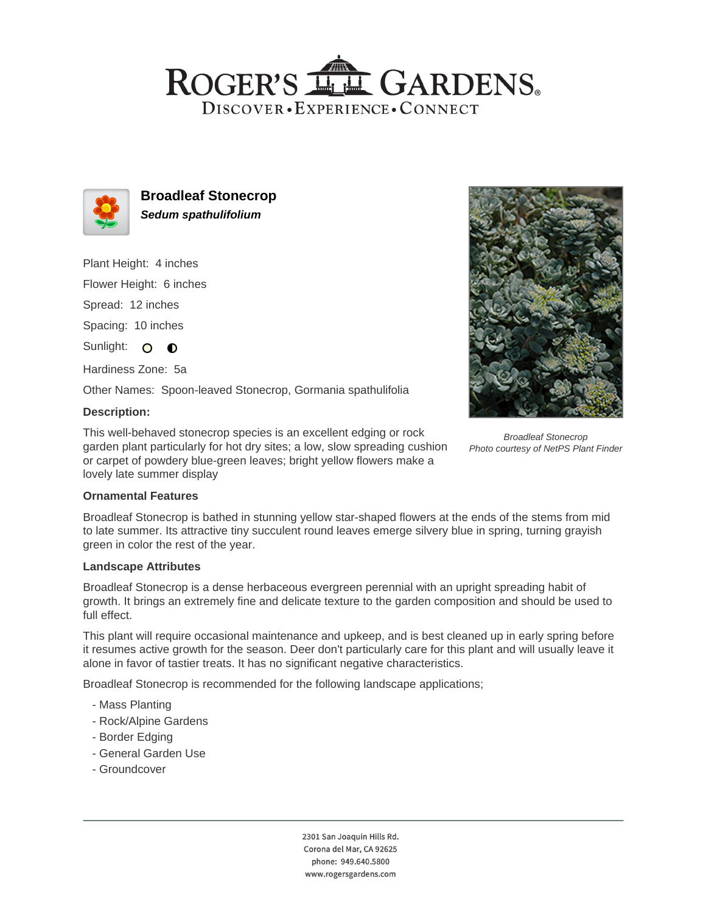## ROGER'S LL GARDENS. DISCOVER · EXPERIENCE · CONNECT



**Broadleaf Stonecrop Sedum spathulifolium**

Plant Height: 4 inches

Flower Height: 6 inches

Spread: 12 inches

Spacing: 10 inches

Sunlight: O O

Hardiness Zone: 5a

Other Names: Spoon-leaved Stonecrop, Gormania spathulifolia

## **Description:**

This well-behaved stonecrop species is an excellent edging or rock garden plant particularly for hot dry sites; a low, slow spreading cushion or carpet of powdery blue-green leaves; bright yellow flowers make a lovely late summer display



Broadleaf Stonecrop Photo courtesy of NetPS Plant Finder

## **Ornamental Features**

Broadleaf Stonecrop is bathed in stunning yellow star-shaped flowers at the ends of the stems from mid to late summer. Its attractive tiny succulent round leaves emerge silvery blue in spring, turning grayish green in color the rest of the year.

#### **Landscape Attributes**

Broadleaf Stonecrop is a dense herbaceous evergreen perennial with an upright spreading habit of growth. It brings an extremely fine and delicate texture to the garden composition and should be used to full effect.

This plant will require occasional maintenance and upkeep, and is best cleaned up in early spring before it resumes active growth for the season. Deer don't particularly care for this plant and will usually leave it alone in favor of tastier treats. It has no significant negative characteristics.

Broadleaf Stonecrop is recommended for the following landscape applications;

- Mass Planting
- Rock/Alpine Gardens
- Border Edging
- General Garden Use
- Groundcover

2301 San Joaquin Hills Rd. Corona del Mar, CA 92625 phone: 949.640.5800 www.rogersgardens.com